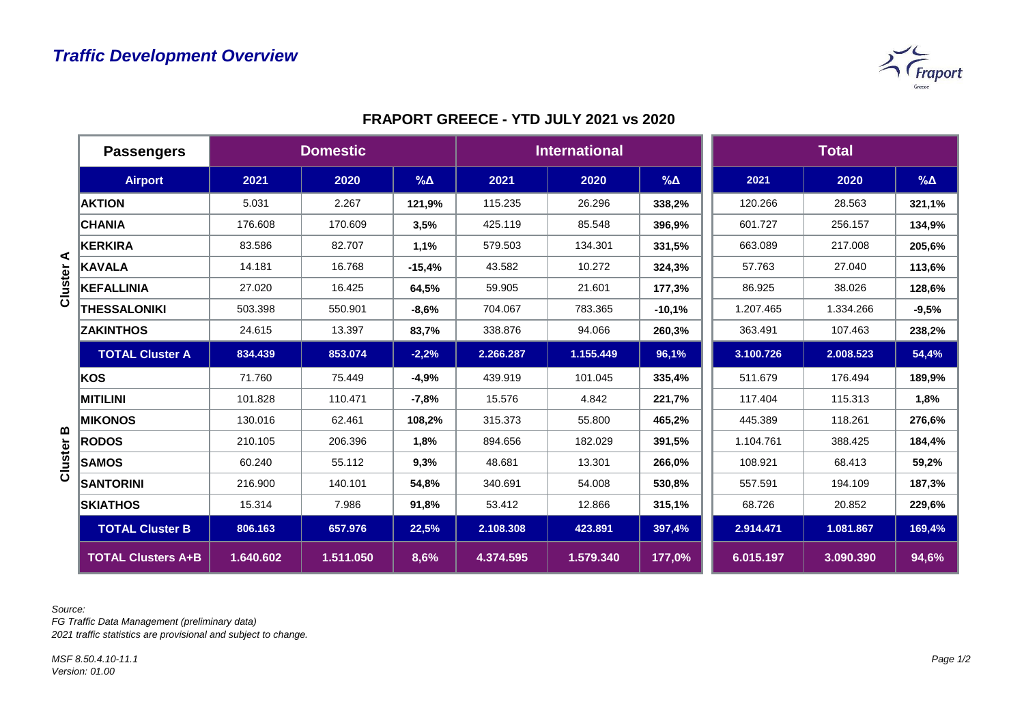

|              | <b>Passengers</b>         |           | <b>Domestic</b> |             | <b>International</b> |           |             | <b>Total</b> |           |               |
|--------------|---------------------------|-----------|-----------------|-------------|----------------------|-----------|-------------|--------------|-----------|---------------|
|              | <b>Airport</b>            | 2021      | 2020            | $\% \Delta$ | 2021                 | 2020      | $\% \Delta$ | 2021         | 2020      | $\%$ $\Delta$ |
|              | <b>AKTION</b>             | 5.031     | 2.267           | 121,9%      | 115.235              | 26.296    | 338,2%      | 120.266      | 28.563    | 321,1%        |
|              | <b>CHANIA</b>             | 176.608   | 170.609         | 3,5%        | 425.119              | 85.548    | 396,9%      | 601.727      | 256.157   | 134,9%        |
|              | <b>KERKIRA</b>            | 83.586    | 82.707          | 1,1%        | 579.503              | 134.301   | 331,5%      | 663.089      | 217.008   | 205,6%        |
| ⋖<br>Cluster | <b>KAVALA</b>             | 14.181    | 16.768          | $-15,4%$    | 43.582               | 10.272    | 324,3%      | 57.763       | 27.040    | 113,6%        |
|              | <b>KEFALLINIA</b>         | 27.020    | 16.425          | 64,5%       | 59.905               | 21.601    | 177,3%      | 86.925       | 38.026    | 128,6%        |
|              | <b>THESSALONIKI</b>       | 503.398   | 550.901         | $-8,6%$     | 704.067              | 783.365   | $-10,1%$    | 1.207.465    | 1.334.266 | $-9,5%$       |
|              | <b>ZAKINTHOS</b>          | 24.615    | 13.397          | 83,7%       | 338.876              | 94.066    | 260,3%      | 363.491      | 107.463   | 238,2%        |
|              | <b>TOTAL Cluster A</b>    | 834.439   | 853.074         | $-2,2%$     | 2.266.287            | 1.155.449 | 96,1%       | 3.100.726    | 2.008.523 | 54,4%         |
|              | KOS                       | 71.760    | 75.449          | $-4,9%$     | 439.919              | 101.045   | 335,4%      | 511.679      | 176.494   | 189,9%        |
|              | <b>MITILINI</b>           | 101.828   | 110.471         | $-7,8%$     | 15.576               | 4.842     | 221,7%      | 117.404      | 115.313   | 1,8%          |
|              | <b>MIKONOS</b>            | 130.016   | 62.461          | 108,2%      | 315.373              | 55.800    | 465,2%      | 445.389      | 118.261   | 276,6%        |
| m<br>Cluster | <b>RODOS</b>              | 210.105   | 206.396         | 1,8%        | 894.656              | 182.029   | 391,5%      | 1.104.761    | 388.425   | 184,4%        |
|              | <b>SAMOS</b>              | 60.240    | 55.112          | 9,3%        | 48.681               | 13.301    | 266,0%      | 108.921      | 68.413    | 59,2%         |
|              | <b>SANTORINI</b>          | 216.900   | 140.101         | 54,8%       | 340.691              | 54.008    | 530,8%      | 557.591      | 194.109   | 187,3%        |
|              | <b>SKIATHOS</b>           | 15.314    | 7.986           | 91,8%       | 53.412               | 12.866    | 315,1%      | 68.726       | 20.852    | 229,6%        |
|              | <b>TOTAL Cluster B</b>    | 806.163   | 657.976         | 22,5%       | 2.108.308            | 423.891   | 397,4%      | 2.914.471    | 1.081.867 | 169,4%        |
|              | <b>TOTAL Clusters A+B</b> | 1.640.602 | 1.511.050       | 8,6%        | 4.374.595            | 1.579.340 | 177,0%      | 6.015.197    | 3.090.390 | 94,6%         |

## **FRAPORT GREECE - YTD JULY 2021 vs 2020**

*Source:* 

*FG Traffic Data Management (preliminary data) 2021 traffic statistics are provisional and subject to change.*

*MSF 8.50.4.10-11.1 Version: 01.00*